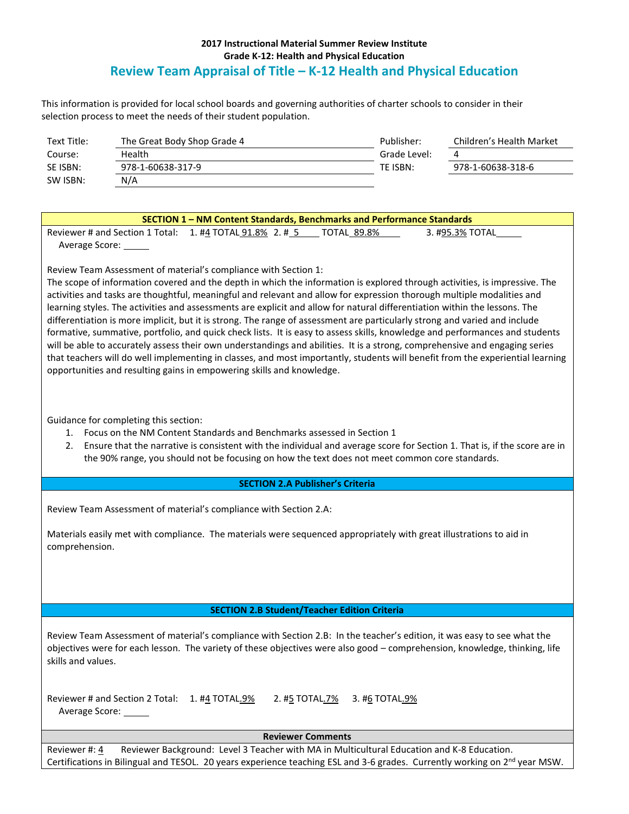## **2017 Instructional Material Summer Review Institute Grade K-12: Health and Physical Education Review Team Appraisal of Title – K-12 Health and Physical Education**

This information is provided for local school boards and governing authorities of charter schools to consider in their selection process to meet the needs of their student population.

| Text Title: | The Great Body Shop Grade 4 | Publisher:   | Children's Health Market |
|-------------|-----------------------------|--------------|--------------------------|
| Course:     | Health                      | Grade Level: |                          |
| SE ISBN:    | 978-1-60638-317-9           | TE ISBN:     | 978-1-60638-318-6        |
| SW ISBN:    | N/A                         |              |                          |

## **SECTION 1 – NM Content Standards, Benchmarks and Performance Standards**

Reviewer # and Section 1 Total: 1. #4 TOTAL 91.8% 2. # 5 TOTAL 89.8% 3. #95.3% TOTAL Average Score:

Review Team Assessment of material's compliance with Section 1:

The scope of information covered and the depth in which the information is explored through activities, is impressive. The activities and tasks are thoughtful, meaningful and relevant and allow for expression thorough multiple modalities and learning styles. The activities and assessments are explicit and allow for natural differentiation within the lessons. The differentiation is more implicit, but it is strong. The range of assessment are particularly strong and varied and include formative, summative, portfolio, and quick check lists. It is easy to assess skills, knowledge and performances and students will be able to accurately assess their own understandings and abilities. It is a strong, comprehensive and engaging series that teachers will do well implementing in classes, and most importantly, students will benefit from the experiential learning opportunities and resulting gains in empowering skills and knowledge.

Guidance for completing this section:

- 1. Focus on the NM Content Standards and Benchmarks assessed in Section 1
- 2. Ensure that the narrative is consistent with the individual and average score for Section 1. That is, if the score are in the 90% range, you should not be focusing on how the text does not meet common core standards.

## **SECTION 2.A Publisher's Criteria**

Review Team Assessment of material's compliance with Section 2.A:

Materials easily met with compliance. The materials were sequenced appropriately with great illustrations to aid in comprehension.

## **SECTION 2.B Student/Teacher Edition Criteria**

Review Team Assessment of material's compliance with Section 2.B: In the teacher's edition, it was easy to see what the objectives were for each lesson. The variety of these objectives were also good – comprehension, knowledge, thinking, life skills and values.

Reviewer # and Section 2 Total:  $1. #4$  TOTAL.9% 2. #5 TOTAL.7% 3. #6 TOTAL.9% Average Score:

**Reviewer Comments**

Reviewer #: 4 Reviewer Background: Level 3 Teacher with MA in Multicultural Education and K-8 Education. Certifications in Bilingual and TESOL. 20 years experience teaching ESL and 3-6 grades. Currently working on  $2^{nd}$  year MSW.